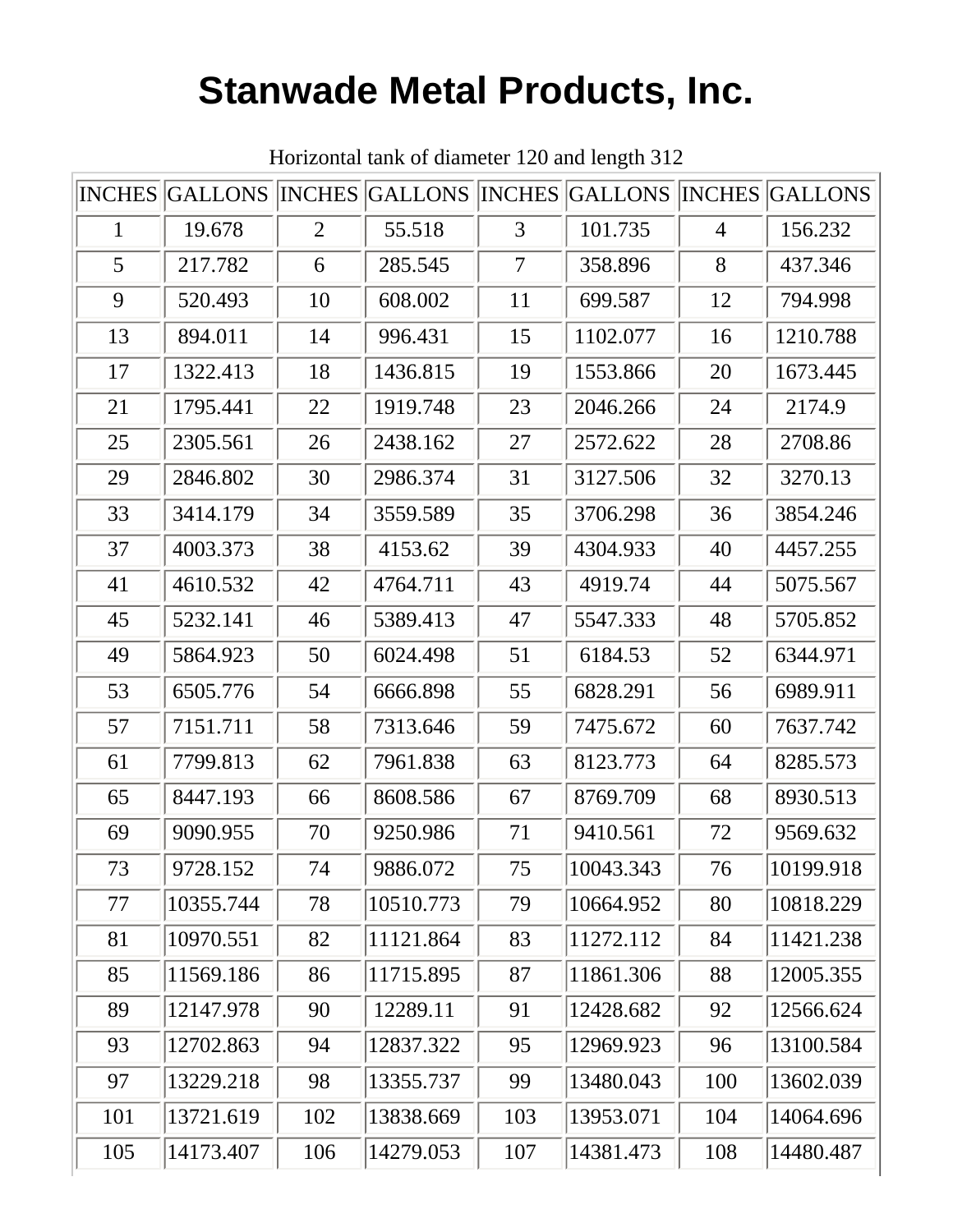## **Stanwade Metal Products, Inc.**

|     | INCHES GALLONS INCHES GALLONS INCHES GALLONS INCHES GALLONS |                |           |                |           |     |           |
|-----|-------------------------------------------------------------|----------------|-----------|----------------|-----------|-----|-----------|
| 1   | 19.678                                                      | $\overline{2}$ | 55.518    | 3              | 101.735   | 4   | 156.232   |
| 5   | 217.782                                                     | 6              | 285.545   | $\overline{7}$ | 358.896   | 8   | 437.346   |
| 9   | 520.493                                                     | 10             | 608.002   | 11             | 699.587   | 12  | 794.998   |
| 13  | 894.011                                                     | 14             | 996.431   | 15             | 1102.077  | 16  | 1210.788  |
| 17  | 1322.413                                                    | 18             | 1436.815  | 19             | 1553.866  | 20  | 1673.445  |
| 21  | 1795.441                                                    | 22             | 1919.748  | 23             | 2046.266  | 24  | 2174.9    |
| 25  | 2305.561                                                    | 26             | 2438.162  | 27             | 2572.622  | 28  | 2708.86   |
| 29  | 2846.802                                                    | 30             | 2986.374  | 31             | 3127.506  | 32  | 3270.13   |
| 33  | 3414.179                                                    | 34             | 3559.589  | 35             | 3706.298  | 36  | 3854.246  |
| 37  | 4003.373                                                    | 38             | 4153.62   | 39             | 4304.933  | 40  | 4457.255  |
| 41  | 4610.532                                                    | 42             | 4764.711  | 43             | 4919.74   | 44  | 5075.567  |
| 45  | 5232.141                                                    | 46             | 5389.413  | 47             | 5547.333  | 48  | 5705.852  |
| 49  | 5864.923                                                    | 50             | 6024.498  | 51             | 6184.53   | 52  | 6344.971  |
| 53  | 6505.776                                                    | 54             | 6666.898  | 55             | 6828.291  | 56  | 6989.911  |
| 57  | 7151.711                                                    | 58             | 7313.646  | 59             | 7475.672  | 60  | 7637.742  |
| 61  | 7799.813                                                    | 62             | 7961.838  | 63             | 8123.773  | 64  | 8285.573  |
| 65  | 8447.193                                                    | 66             | 8608.586  | 67             | 8769.709  | 68  | 8930.513  |
| 69  | 9090.955                                                    | 70             | 9250.986  | 71             | 9410.561  | 72  | 9569.632  |
| 73  | 9728.152                                                    | 74             | 9886.072  | 75             | 10043.343 | 76  | 10199.918 |
| 77  | 10355.744                                                   | 78             | 10510.773 | 79             | 10664.952 | 80  | 10818.229 |
| 81  | 10970.551                                                   | 82             | 11121.864 | 83             | 11272.112 | 84  | 11421.238 |
| 85  | 11569.186                                                   | 86             | 11715.895 | 87             | 11861.306 | 88  | 12005.355 |
| 89  | 12147.978                                                   | 90             | 12289.11  | 91             | 12428.682 | 92  | 12566.624 |
| 93  | 12702.863                                                   | 94             | 12837.322 | 95             | 12969.923 | 96  | 13100.584 |
| 97  | 13229.218                                                   | 98             | 13355.737 | 99             | 13480.043 | 100 | 13602.039 |
| 101 | 13721.619                                                   | 102            | 13838.669 | 103            | 13953.071 | 104 | 14064.696 |
| 105 | 14173.407                                                   | 106            | 14279.053 | 107            | 14381.473 | 108 | 14480.487 |

Horizontal tank of diameter 120 and length 312